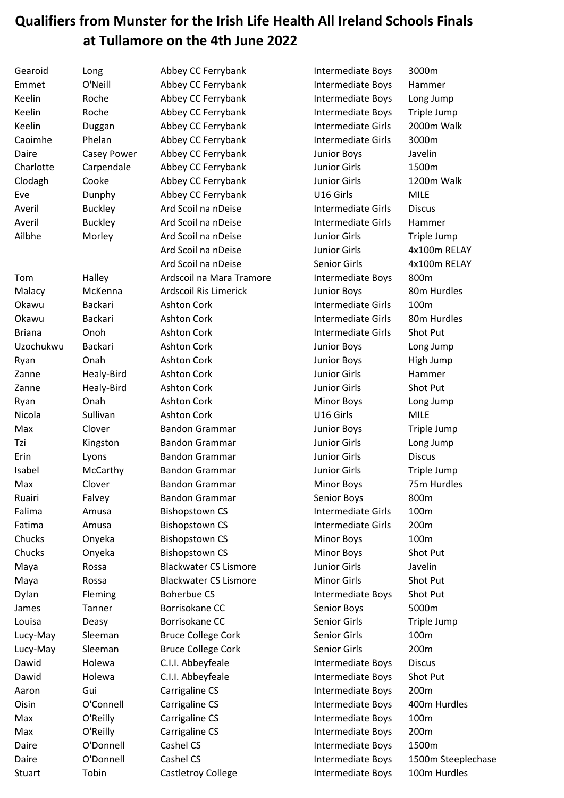## **Qualifiers from Munster for the Irish Life Health All Ireland Schools Finals at Tullamore on the 4th June 2022**

| Gearoid       | Long               | Abbey CC Ferrybank           | Intermediate Boys         | 3000m              |
|---------------|--------------------|------------------------------|---------------------------|--------------------|
| Emmet         | O'Neill            | Abbey CC Ferrybank           | Intermediate Boys         | Hammer             |
| Keelin        | Roche              | Abbey CC Ferrybank           | Intermediate Boys         | Long Jump          |
| Keelin        | Roche              | Abbey CC Ferrybank           | Intermediate Boys         | Triple Jump        |
| Keelin        | Duggan             | Abbey CC Ferrybank           | Intermediate Girls        | 2000m Walk         |
| Caoimhe       | Phelan             | Abbey CC Ferrybank           | Intermediate Girls        | 3000m              |
| Daire         | <b>Casey Power</b> | Abbey CC Ferrybank           | <b>Junior Boys</b>        | Javelin            |
| Charlotte     | Carpendale         | Abbey CC Ferrybank           | <b>Junior Girls</b>       | 1500m              |
| Clodagh       | Cooke              | Abbey CC Ferrybank           | <b>Junior Girls</b>       | 1200m Walk         |
| Eve           | Dunphy             | Abbey CC Ferrybank           | U16 Girls                 | <b>MILE</b>        |
| Averil        | <b>Buckley</b>     | Ard Scoil na nDeise          | Intermediate Girls        | <b>Discus</b>      |
| Averil        | <b>Buckley</b>     | Ard Scoil na nDeise          | Intermediate Girls        | Hammer             |
| Ailbhe        | Morley             | Ard Scoil na nDeise          | <b>Junior Girls</b>       | Triple Jump        |
|               |                    | Ard Scoil na nDeise          | <b>Junior Girls</b>       | 4x100m RELAY       |
|               |                    | Ard Scoil na nDeise          | Senior Girls              | 4x100m RELAY       |
| Tom           | Halley             | Ardscoil na Mara Tramore     | Intermediate Boys         | 800m               |
| Malacy        | McKenna            | <b>Ardscoil Ris Limerick</b> | <b>Junior Boys</b>        | 80m Hurdles        |
| Okawu         | <b>Backari</b>     | <b>Ashton Cork</b>           | Intermediate Girls        | 100m               |
| Okawu         | Backari            | <b>Ashton Cork</b>           | <b>Intermediate Girls</b> | 80m Hurdles        |
| <b>Briana</b> | Onoh               | <b>Ashton Cork</b>           | <b>Intermediate Girls</b> | Shot Put           |
| Uzochukwu     | Backari            | <b>Ashton Cork</b>           | <b>Junior Boys</b>        | Long Jump          |
| Ryan          | Onah               | <b>Ashton Cork</b>           | <b>Junior Boys</b>        | High Jump          |
| Zanne         | Healy-Bird         | <b>Ashton Cork</b>           | <b>Junior Girls</b>       | Hammer             |
| Zanne         | Healy-Bird         | <b>Ashton Cork</b>           | <b>Junior Girls</b>       | Shot Put           |
| Ryan          | Onah               | <b>Ashton Cork</b>           | Minor Boys                | Long Jump          |
| Nicola        | Sullivan           | <b>Ashton Cork</b>           | U16 Girls                 | <b>MILE</b>        |
| Max           | Clover             | <b>Bandon Grammar</b>        | <b>Junior Boys</b>        | Triple Jump        |
| Tzi           | Kingston           | <b>Bandon Grammar</b>        | Junior Girls              | Long Jump          |
| Erin          | Lyons              | <b>Bandon Grammar</b>        | <b>Junior Girls</b>       | <b>Discus</b>      |
| Isabel        | McCarthy           | <b>Bandon Grammar</b>        | <b>Junior Girls</b>       | Triple Jump        |
| Max           | Clover             | <b>Bandon Grammar</b>        | <b>Minor Boys</b>         | 75m Hurdles        |
| Ruairi        | Falvey             | <b>Bandon Grammar</b>        | Senior Boys               | 800m               |
| Falima        | Amusa              | <b>Bishopstown CS</b>        | Intermediate Girls        | 100m               |
| Fatima        | Amusa              | <b>Bishopstown CS</b>        | Intermediate Girls        | 200m               |
| Chucks        | Onyeka             | <b>Bishopstown CS</b>        | Minor Boys                | 100m               |
| Chucks        | Onyeka             | <b>Bishopstown CS</b>        | Minor Boys                | Shot Put           |
| Maya          | Rossa              | <b>Blackwater CS Lismore</b> | <b>Junior Girls</b>       | Javelin            |
| Maya          | Rossa              | <b>Blackwater CS Lismore</b> | <b>Minor Girls</b>        | Shot Put           |
| Dylan         | Fleming            | <b>Boherbue CS</b>           | Intermediate Boys         | Shot Put           |
| James         | Tanner             | Borrisokane CC               | Senior Boys               | 5000m              |
| Louisa        | Deasy              | Borrisokane CC               | Senior Girls              | Triple Jump        |
| Lucy-May      | Sleeman            | <b>Bruce College Cork</b>    | Senior Girls              | 100m               |
| Lucy-May      | Sleeman            | <b>Bruce College Cork</b>    | Senior Girls              | 200m               |
| Dawid         | Holewa             | C.I.I. Abbeyfeale            | Intermediate Boys         | <b>Discus</b>      |
| Dawid         | Holewa             | C.I.I. Abbeyfeale            | Intermediate Boys         | Shot Put           |
| Aaron         | Gui                | Carrigaline CS               | Intermediate Boys         | 200m               |
| Oisin         | O'Connell          | Carrigaline CS               | Intermediate Boys         | 400m Hurdles       |
| Max           | O'Reilly           | Carrigaline CS               | Intermediate Boys         | 100m               |
| Max           | O'Reilly           | Carrigaline CS               | Intermediate Boys         | 200m               |
| Daire         | O'Donnell          | Cashel CS                    | Intermediate Boys         | 1500m              |
| Daire         | O'Donnell          | Cashel CS                    | Intermediate Boys         | 1500m Steeplechase |
| <b>Stuart</b> | Tobin              | Castletroy College           | Intermediate Boys         | 100m Hurdles       |
|               |                    |                              |                           |                    |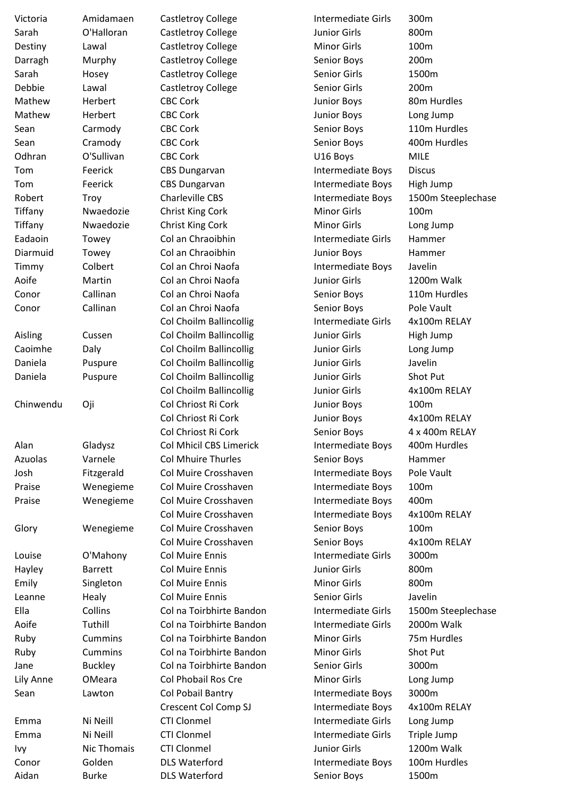| Victoria  | Amidamaen      | <b>Castletroy College</b> | <b>Intermediate Girls</b> | 300m          |
|-----------|----------------|---------------------------|---------------------------|---------------|
| Sarah     | O'Halloran     | <b>Castletroy College</b> | <b>Junior Girls</b>       | 800m          |
| Destiny   | Lawal          | <b>Castletroy College</b> | <b>Minor Girls</b>        | 100m          |
| Darragh   | Murphy         | <b>Castletroy College</b> | Senior Boys               | 200m          |
| Sarah     | Hosey          | Castletroy College        | Senior Girls              | 1500m         |
| Debbie    | Lawal          | <b>Castletroy College</b> | Senior Girls              | 200m          |
| Mathew    | Herbert        | <b>CBC Cork</b>           | <b>Junior Boys</b>        | 80m Hurdles   |
| Mathew    | Herbert        | <b>CBC Cork</b>           | <b>Junior Boys</b>        | Long Jump     |
| Sean      | Carmody        | <b>CBC Cork</b>           | Senior Boys               | 110m Hurdle   |
| Sean      | Cramody        | <b>CBC Cork</b>           | Senior Boys               | 400m Hurdle   |
| Odhran    | O'Sullivan     | <b>CBC Cork</b>           | U16 Boys                  | <b>MILE</b>   |
| Tom       | Feerick        | <b>CBS Dungarvan</b>      | Intermediate Boys         | <b>Discus</b> |
| Tom       | Feerick        | <b>CBS Dungarvan</b>      | Intermediate Boys         | High Jump     |
| Robert    | Troy           | <b>Charleville CBS</b>    | Intermediate Boys         | 1500m Steep   |
| Tiffany   | Nwaedozie      | Christ King Cork          | <b>Minor Girls</b>        | 100m          |
| Tiffany   | Nwaedozie      | Christ King Cork          | <b>Minor Girls</b>        | Long Jump     |
| Eadaoin   | Towey          | Col an Chraoibhin         | <b>Intermediate Girls</b> | Hammer        |
| Diarmuid  | Towey          | Col an Chraoibhin         | <b>Junior Boys</b>        | Hammer        |
| Timmy     | Colbert        | Col an Chroi Naofa        | Intermediate Boys         | Javelin       |
| Aoife     | Martin         | Col an Chroi Naofa        | <b>Junior Girls</b>       | 1200m Walk    |
| Conor     | Callinan       | Col an Chroi Naofa        | Senior Boys               | 110m Hurdle   |
| Conor     | Callinan       | Col an Chroi Naofa        | Senior Boys               | Pole Vault    |
|           |                | Col Choilm Ballincollig   | Intermediate Girls        | 4x100m REL    |
| Aisling   | Cussen         | Col Choilm Ballincollig   | <b>Junior Girls</b>       | High Jump     |
| Caoimhe   | Daly           | Col Choilm Ballincollig   | <b>Junior Girls</b>       | Long Jump     |
| Daniela   | Puspure        | Col Choilm Ballincollig   | <b>Junior Girls</b>       | Javelin       |
| Daniela   | Puspure        | Col Choilm Ballincollig   | Junior Girls              | Shot Put      |
|           |                | Col Choilm Ballincollig   | <b>Junior Girls</b>       | 4x100m REL    |
| Chinwendu | Oji            | Col Chriost Ri Cork       | <b>Junior Boys</b>        | 100m          |
|           |                | Col Chriost Ri Cork       | <b>Junior Boys</b>        | 4x100m REL    |
|           |                | Col Chriost Ri Cork       | Senior Boys               | 4 x 400m RE   |
| Alan      | Gladysz        | Col Mhicil CBS Limerick   | Intermediate Boys         | 400m Hurdle   |
| Azuolas   | Varnele        | <b>Col Mhuire Thurles</b> | Senior Boys               | Hammer        |
| Josh      | Fitzgerald     | Col Muire Crosshaven      | Intermediate Boys         | Pole Vault    |
| Praise    | Wenegieme      | Col Muire Crosshaven      | Intermediate Boys         | 100m          |
| Praise    | Wenegieme      | Col Muire Crosshaven      | Intermediate Boys         | 400m          |
|           |                | Col Muire Crosshaven      | Intermediate Boys         | 4x100m REL    |
| Glory     | Wenegieme      | Col Muire Crosshaven      | Senior Boys               | 100m          |
|           |                | Col Muire Crosshaven      | Senior Boys               | 4x100m REL    |
| Louise    | O'Mahony       | <b>Col Muire Ennis</b>    | <b>Intermediate Girls</b> | 3000m         |
| Hayley    | <b>Barrett</b> | <b>Col Muire Ennis</b>    | <b>Junior Girls</b>       | 800m          |
| Emily     | Singleton      | <b>Col Muire Ennis</b>    | <b>Minor Girls</b>        | 800m          |
| Leanne    | Healy          | <b>Col Muire Ennis</b>    | Senior Girls              | Javelin       |
| Ella      | Collins        | Col na Toirbhirte Bandon  | Intermediate Girls        | 1500m Steep   |
| Aoife     | Tuthill        | Col na Toirbhirte Bandon  | Intermediate Girls        | 2000m Walk    |
| Ruby      | <b>Cummins</b> | Col na Toirbhirte Bandon  | <b>Minor Girls</b>        | 75m Hurdles   |
| Ruby      | <b>Cummins</b> | Col na Toirbhirte Bandon  | <b>Minor Girls</b>        | Shot Put      |
| Jane      | <b>Buckley</b> | Col na Toirbhirte Bandon  | <b>Senior Girls</b>       | 3000m         |
| Lily Anne | OMeara         | Col Phobail Ros Cre       | <b>Minor Girls</b>        | Long Jump     |
| Sean      | Lawton         | Col Pobail Bantry         | Intermediate Boys         | 3000m         |
|           |                | Crescent Col Comp SJ      | Intermediate Boys         | 4x100m REL    |
| Emma      | Ni Neill       | <b>CTI Clonmel</b>        | <b>Intermediate Girls</b> | Long Jump     |
| Emma      | Ni Neill       | <b>CTI Clonmel</b>        | Intermediate Girls        | Triple Jump   |
| Ivy       | Nic Thomais    | <b>CTI Clonmel</b>        | <b>Junior Girls</b>       | 1200m Walk    |
| Conor     | Golden         | <b>DLS Waterford</b>      | Intermediate Boys         | 100m Hurdle   |
| Aidan     | <b>Burke</b>   | <b>DLS Waterford</b>      | Senior Boys               | 1500m         |

Long Jump 110m Hurdles 400m Hurdles ys 1500m Steeplechase 110m Hurdles rls 4x100m RELAY 4x100m RELAY 4x100m RELAY 4 x 400m RELAY ys 400m Hurdles ys 4x100m RELAY 4x100m RELAY rls 1500m Steeplechase rls 2000m Walk 75m Hurdles ys 4x100m RELAY rls Triple Jump ys 100m Hurdles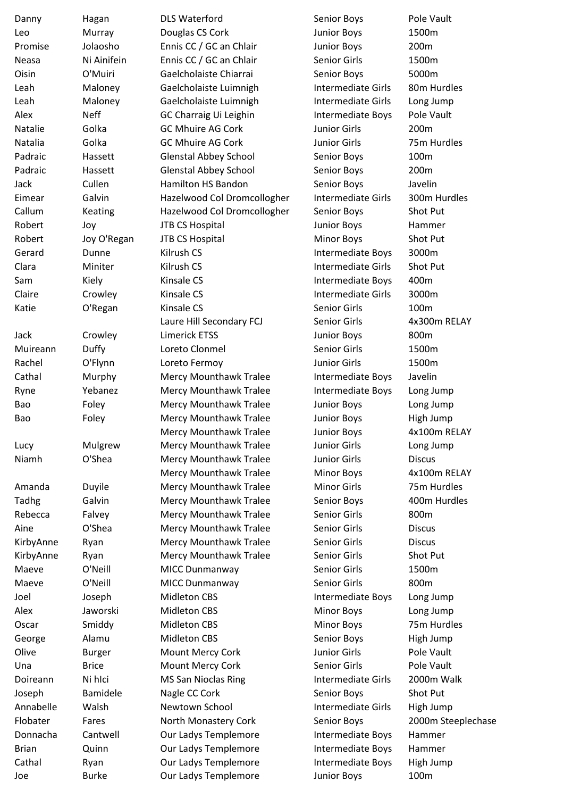| Danny        | Hagan         | <b>DLS Waterford</b>          | Senior Boys               | Pole Vault         |
|--------------|---------------|-------------------------------|---------------------------|--------------------|
| Leo          | Murray        | Douglas CS Cork               | Junior Boys               | 1500m              |
| Promise      | Jolaosho      | Ennis CC / GC an Chlair       | <b>Junior Boys</b>        | 200m               |
| <b>Neasa</b> | Ni Ainifein   | Ennis CC / GC an Chlair       | Senior Girls              | 1500m              |
| Oisin        | O'Muiri       | Gaelcholaiste Chiarrai        | Senior Boys               | 5000m              |
| Leah         | Maloney       | Gaelcholaiste Luimnigh        | Intermediate Girls        | 80m Hurdles        |
| Leah         | Maloney       | Gaelcholaiste Luimnigh        | Intermediate Girls        | Long Jump          |
| Alex         | <b>Neff</b>   | GC Charraig Ui Leighin        | Intermediate Boys         | Pole Vault         |
| Natalie      | Golka         | <b>GC Mhuire AG Cork</b>      | <b>Junior Girls</b>       | 200m               |
| Natalia      | Golka         | <b>GC Mhuire AG Cork</b>      | <b>Junior Girls</b>       | 75m Hurdles        |
| Padraic      | Hassett       | <b>Glenstal Abbey School</b>  | Senior Boys               | 100m               |
| Padraic      | Hassett       | <b>Glenstal Abbey School</b>  | Senior Boys               | 200m               |
| Jack         | Cullen        | Hamilton HS Bandon            | Senior Boys               | Javelin            |
| Eimear       | Galvin        | Hazelwood Col Dromcollogher   | Intermediate Girls        | 300m Hurdles       |
| Callum       | Keating       | Hazelwood Col Dromcollogher   | Senior Boys               | Shot Put           |
| Robert       |               | <b>JTB CS Hospital</b>        |                           | Hammer             |
|              | Joy           |                               | Junior Boys               |                    |
| Robert       | Joy O'Regan   | <b>JTB CS Hospital</b>        | <b>Minor Boys</b>         | Shot Put           |
| Gerard       | Dunne         | Kilrush CS                    | <b>Intermediate Boys</b>  | 3000m              |
| Clara        | Miniter       | Kilrush CS                    | <b>Intermediate Girls</b> | Shot Put           |
| Sam          | Kiely         | Kinsale CS                    | Intermediate Boys         | 400m               |
| Claire       | Crowley       | Kinsale CS                    | Intermediate Girls        | 3000m              |
| Katie        | O'Regan       | Kinsale CS                    | Senior Girls              | 100m               |
|              |               | Laure Hill Secondary FCJ      | Senior Girls              | 4x300m RELAY       |
| Jack         | Crowley       | <b>Limerick ETSS</b>          | <b>Junior Boys</b>        | 800m               |
| Muireann     | Duffy         | Loreto Clonmel                | Senior Girls              | 1500m              |
| Rachel       | O'Flynn       | Loreto Fermoy                 | Junior Girls              | 1500m              |
| Cathal       | Murphy        | Mercy Mounthawk Tralee        | Intermediate Boys         | Javelin            |
| Ryne         | Yebanez       | Mercy Mounthawk Tralee        | Intermediate Boys         | Long Jump          |
| Bao          | Foley         | Mercy Mounthawk Tralee        | Junior Boys               | Long Jump          |
| Bao          | Foley         | <b>Mercy Mounthawk Tralee</b> | <b>Junior Boys</b>        | High Jump          |
|              |               | Mercy Mounthawk Tralee        | <b>Junior Boys</b>        | 4x100m RELAY       |
| Lucy         | Mulgrew       | <b>Mercy Mounthawk Tralee</b> | <b>Junior Girls</b>       | Long Jump          |
| Niamh        | O'Shea        | <b>Mercy Mounthawk Tralee</b> | <b>Junior Girls</b>       | <b>Discus</b>      |
|              |               | Mercy Mounthawk Tralee        | <b>Minor Boys</b>         | 4x100m RELAY       |
| Amanda       | Duyile        | Mercy Mounthawk Tralee        | <b>Minor Girls</b>        | 75m Hurdles        |
| Tadhg        | Galvin        | Mercy Mounthawk Tralee        | Senior Boys               | 400m Hurdles       |
| Rebecca      | Falvey        | Mercy Mounthawk Tralee        | Senior Girls              | 800m               |
| Aine         | O'Shea        | Mercy Mounthawk Tralee        | Senior Girls              | <b>Discus</b>      |
| KirbyAnne    | Ryan          | Mercy Mounthawk Tralee        | Senior Girls              | <b>Discus</b>      |
| KirbyAnne    | Ryan          | Mercy Mounthawk Tralee        | Senior Girls              | Shot Put           |
| Maeve        | O'Neill       | MICC Dunmanway                | Senior Girls              | 1500m              |
| Maeve        | O'Neill       | MICC Dunmanway                | Senior Girls              | 800m               |
| Joel         | Joseph        | <b>Midleton CBS</b>           | Intermediate Boys         | Long Jump          |
| Alex         | Jaworski      | <b>Midleton CBS</b>           | <b>Minor Boys</b>         | Long Jump          |
| Oscar        | Smiddy        | <b>Midleton CBS</b>           | <b>Minor Boys</b>         | 75m Hurdles        |
| George       | Alamu         | <b>Midleton CBS</b>           | Senior Boys               | High Jump          |
| Olive        | <b>Burger</b> | Mount Mercy Cork              | <b>Junior Girls</b>       | Pole Vault         |
| Una          | <b>Brice</b>  | Mount Mercy Cork              | Senior Girls              | Pole Vault         |
| Doireann     | Ni hlci       | <b>MS San Nioclas Ring</b>    | Intermediate Girls        | 2000m Walk         |
|              |               |                               |                           |                    |
| Joseph       | Bamidele      | Nagle CC Cork                 | Senior Boys               | Shot Put           |
| Annabelle    | Walsh         | Newtown School                | Intermediate Girls        | High Jump          |
| Flobater     | Fares         | North Monastery Cork          | Senior Boys               | 2000m Steeplechase |
| Donnacha     | Cantwell      | Our Ladys Templemore          | Intermediate Boys         | Hammer             |
| <b>Brian</b> | Quinn         | Our Ladys Templemore          | Intermediate Boys         | Hammer             |
| Cathal       | Ryan          | Our Ladys Templemore          | Intermediate Boys         | High Jump          |
| Joe          | <b>Burke</b>  | Our Ladys Templemore          | Junior Boys               | 100m               |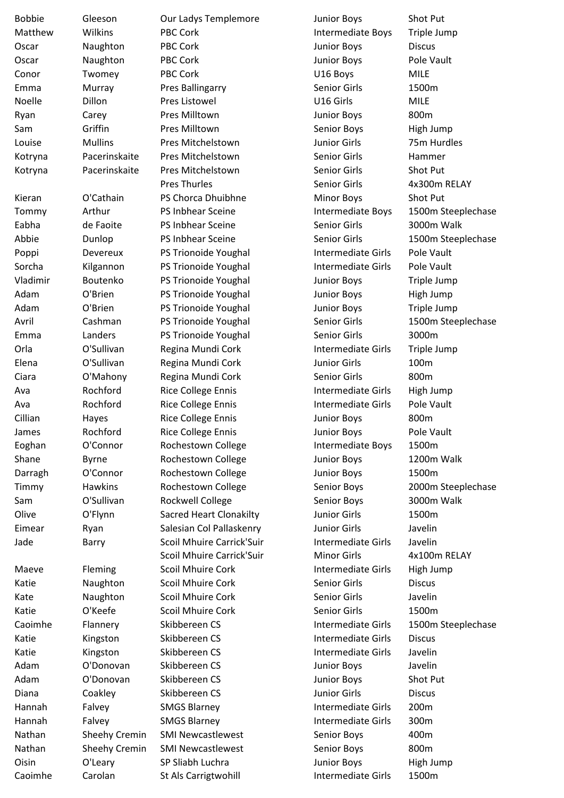| <b>Bobbie</b> | Gleeson             | Our Ladys Templemore           | <b>Junior Boys</b>        | Shot Put                            |
|---------------|---------------------|--------------------------------|---------------------------|-------------------------------------|
| Matthew       | Wilkins             | <b>PBC Cork</b>                | Intermediate Boys         | Triple Jump                         |
| Oscar         | Naughton            | PBC Cork                       | <b>Junior Boys</b>        | <b>Discus</b>                       |
| Oscar         | Naughton            | <b>PBC Cork</b>                | Junior Boys               | Pole Vault                          |
| Conor         | Twomey              | <b>PBC Cork</b>                | U16 Boys                  | <b>MILE</b>                         |
| Emma          | Murray              | <b>Pres Ballingarry</b>        | Senior Girls              | 1500m                               |
| Noelle        | Dillon              | Pres Listowel                  | U16 Girls                 | <b>MILE</b>                         |
| Ryan          | Carey               | Pres Milltown                  | <b>Junior Boys</b>        | 800m                                |
| Sam           | Griffin             | Pres Milltown                  | Senior Boys               | High Jump                           |
| Louise        | <b>Mullins</b>      | Pres Mitchelstown              | Junior Girls              | 75m Hurdles                         |
| Kotryna       | Pacerinskaite       | Pres Mitchelstown              | Senior Girls              | Hammer                              |
| Kotryna       | Pacerinskaite       | Pres Mitchelstown              | Senior Girls              | Shot Put                            |
|               |                     | <b>Pres Thurles</b>            | Senior Girls              | 4x300m RELAY                        |
| Kieran        | O'Cathain           | PS Chorca Dhuibhne             | <b>Minor Boys</b>         | Shot Put                            |
| Tommy         | Arthur              | PS Inbhear Sceine              | Intermediate Boys         | 1500m Steeplechase                  |
| Eabha         | de Faoite           | PS Inbhear Sceine              | Senior Girls              | 3000m Walk                          |
| Abbie         | Dunlop              | PS Inbhear Sceine              | Senior Girls              | 1500m Steeplechase                  |
| Poppi         | Devereux            | PS Trionoide Youghal           | <b>Intermediate Girls</b> | Pole Vault                          |
| Sorcha        | Kilgannon           | PS Trionoide Youghal           | Intermediate Girls        | Pole Vault                          |
| Vladimir      | Boutenko            | PS Trionoide Youghal           | <b>Junior Boys</b>        | Triple Jump                         |
| Adam          | O'Brien             | PS Trionoide Youghal           | <b>Junior Boys</b>        | High Jump                           |
| Adam          | O'Brien             | PS Trionoide Youghal           | Junior Boys               | Triple Jump                         |
| Avril         | Cashman             | PS Trionoide Youghal           | Senior Girls              | 1500m Steeplechase                  |
| Emma          | Landers             | PS Trionoide Youghal           | Senior Girls              | 3000m                               |
| Orla          | O'Sullivan          | Regina Mundi Cork              | Intermediate Girls        | Triple Jump                         |
| Elena         | O'Sullivan          | Regina Mundi Cork              | Junior Girls              | 100m                                |
| Ciara         | O'Mahony            | Regina Mundi Cork              | Senior Girls              | 800m                                |
| Ava           | Rochford            | <b>Rice College Ennis</b>      | <b>Intermediate Girls</b> | High Jump                           |
| Ava           | Rochford            | <b>Rice College Ennis</b>      | <b>Intermediate Girls</b> | Pole Vault                          |
| Cillian       | Hayes               | <b>Rice College Ennis</b>      | <b>Junior Boys</b>        | 800m                                |
| James         | Rochford            | <b>Rice College Ennis</b>      | <b>Junior Boys</b>        | Pole Vault                          |
| Eoghan        | O'Connor            | Rochestown College             | Intermediate Boys         | 1500m                               |
| Shane         | Byrne               | Rochestown College             | <b>Junior Boys</b>        | 1200m Walk                          |
| Darragh       | O'Connor            | Rochestown College             | <b>Junior Boys</b>        | 1500m                               |
| Timmy         | <b>Hawkins</b>      | Rochestown College             | Senior Boys               | 2000m Steeplechase                  |
| Sam           | O'Sullivan          | Rockwell College               | Senior Boys               | 3000m Walk                          |
| Olive         | O'Flynn             | <b>Sacred Heart Clonakilty</b> | <b>Junior Girls</b>       | 1500m                               |
| Eimear        | Ryan                | Salesian Col Pallaskenry       | Junior Girls              | Javelin                             |
| Jade          | Barry               | Scoil Mhuire Carrick'Suir      | Intermediate Girls        | Javelin                             |
|               |                     | Scoil Mhuire Carrick'Suir      | <b>Minor Girls</b>        | 4x100m RELAY                        |
| Maeve         |                     | Scoil Mhuire Cork              | Intermediate Girls        | High Jump                           |
| Katie         | Fleming<br>Naughton | Scoil Mhuire Cork              | Senior Girls              | <b>Discus</b>                       |
| Kate          | Naughton            | Scoil Mhuire Cork              | Senior Girls              | Javelin                             |
| Katie         | O'Keefe             | Scoil Mhuire Cork              | Senior Girls              | 1500m                               |
| Caoimhe       |                     | Skibbereen CS                  | <b>Intermediate Girls</b> |                                     |
| Katie         | Flannery            | Skibbereen CS                  | Intermediate Girls        | 1500m Steeplechase<br><b>Discus</b> |
|               | Kingston            |                                |                           | Javelin                             |
| Katie         | Kingston            | Skibbereen CS                  | <b>Intermediate Girls</b> |                                     |
| Adam          | O'Donovan           | Skibbereen CS                  | <b>Junior Boys</b>        | Javelin                             |
| Adam          | O'Donovan           | Skibbereen CS                  | Junior Boys               | Shot Put                            |
| Diana         | Coakley             | Skibbereen CS                  | Junior Girls              | <b>Discus</b>                       |
| Hannah        | Falvey              | <b>SMGS Blarney</b>            | Intermediate Girls        | 200m                                |
| Hannah        | Falvey              | <b>SMGS Blarney</b>            | <b>Intermediate Girls</b> | 300m                                |
| Nathan        | Sheehy Cremin       | <b>SMI Newcastlewest</b>       | Senior Boys               | 400m                                |
| Nathan        | Sheehy Cremin       | <b>SMI Newcastlewest</b>       | Senior Boys               | 800m                                |
| Oisin         | O'Leary             | SP Sliabh Luchra               | <b>Junior Boys</b>        | High Jump                           |
| Caoimhe       | Carolan             | St Als Carrigtwohill           | Intermediate Girls        | 1500m                               |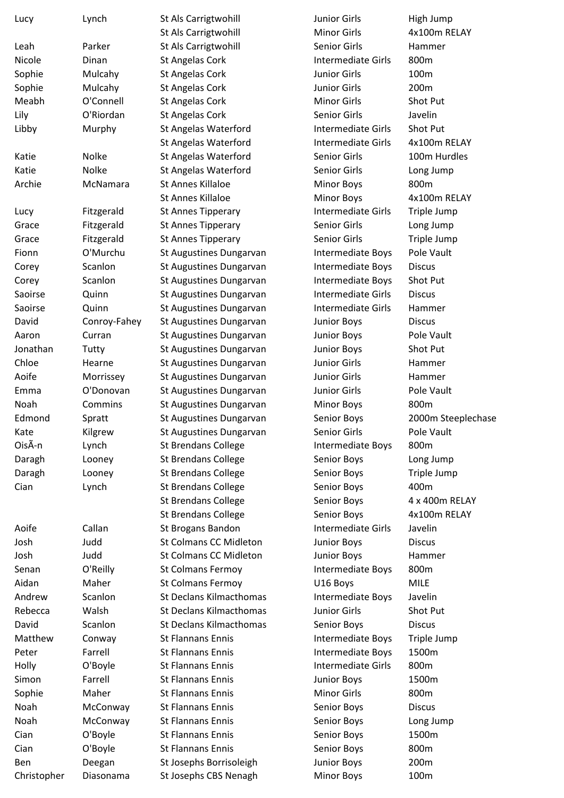| Lucy        | Lynch        | St Als Carrigtwohill          | <b>Junior Girls</b> | High Jump          |
|-------------|--------------|-------------------------------|---------------------|--------------------|
|             |              | St Als Carrigtwohill          | <b>Minor Girls</b>  | 4x100m RELAY       |
| Leah        | Parker       | St Als Carrigtwohill          | Senior Girls        | Hammer             |
| Nicole      | Dinan        | St Angelas Cork               | Intermediate Girls  | 800m               |
| Sophie      | Mulcahy      | St Angelas Cork               | Junior Girls        | 100m               |
| Sophie      | Mulcahy      | St Angelas Cork               | Junior Girls        | 200m               |
| Meabh       | O'Connell    | St Angelas Cork               | <b>Minor Girls</b>  | Shot Put           |
| Lily        | O'Riordan    | St Angelas Cork               | Senior Girls        | Javelin            |
| Libby       | Murphy       | St Angelas Waterford          | Intermediate Girls  | Shot Put           |
|             |              | St Angelas Waterford          | Intermediate Girls  | 4x100m RELAY       |
| Katie       | Nolke        | St Angelas Waterford          | Senior Girls        | 100m Hurdles       |
| Katie       | Nolke        | St Angelas Waterford          | Senior Girls        | Long Jump          |
| Archie      | McNamara     | St Annes Killaloe             | <b>Minor Boys</b>   | 800m               |
|             |              | St Annes Killaloe             | <b>Minor Boys</b>   | 4x100m RELAY       |
| Lucy        | Fitzgerald   | St Annes Tipperary            | Intermediate Girls  | Triple Jump        |
| Grace       | Fitzgerald   | St Annes Tipperary            | Senior Girls        | Long Jump          |
| Grace       | Fitzgerald   | St Annes Tipperary            | Senior Girls        | Triple Jump        |
| Fionn       | O'Murchu     | St Augustines Dungarvan       | Intermediate Boys   | Pole Vault         |
|             | Scanlon      |                               |                     | <b>Discus</b>      |
| Corey       |              | St Augustines Dungarvan       | Intermediate Boys   |                    |
| Corey       | Scanlon      | St Augustines Dungarvan       | Intermediate Boys   | Shot Put           |
| Saoirse     | Quinn        | St Augustines Dungarvan       | Intermediate Girls  | <b>Discus</b>      |
| Saoirse     | Quinn        | St Augustines Dungarvan       | Intermediate Girls  | Hammer             |
| David       | Conroy-Fahey | St Augustines Dungarvan       | <b>Junior Boys</b>  | <b>Discus</b>      |
| Aaron       | Curran       | St Augustines Dungarvan       | <b>Junior Boys</b>  | Pole Vault         |
| Jonathan    | Tutty        | St Augustines Dungarvan       | <b>Junior Boys</b>  | Shot Put           |
| Chloe       | Hearne       | St Augustines Dungarvan       | Junior Girls        | Hammer             |
| Aoife       | Morrissey    | St Augustines Dungarvan       | <b>Junior Girls</b> | Hammer             |
| Emma        | O'Donovan    | St Augustines Dungarvan       | Junior Girls        | Pole Vault         |
| Noah        | Commins      | St Augustines Dungarvan       | <b>Minor Boys</b>   | 800m               |
| Edmond      | Spratt       | St Augustines Dungarvan       | Senior Boys         | 2000m Steeplechase |
| Kate        | Kilgrew      | St Augustines Dungarvan       | Senior Girls        | Pole Vault         |
| OisÃ-n      | Lynch        | <b>St Brendans College</b>    | Intermediate Boys   | 800m               |
| Daragh      | Looney       | <b>St Brendans College</b>    | Senior Boys         | Long Jump          |
| Daragh      | Looney       | <b>St Brendans College</b>    | Senior Boys         | Triple Jump        |
| Cian        | Lynch        | <b>St Brendans College</b>    | Senior Boys         | 400m               |
|             |              | <b>St Brendans College</b>    | Senior Boys         | 4 x 400m RELAY     |
|             |              | <b>St Brendans College</b>    | Senior Boys         | 4x100m RELAY       |
| Aoife       | Callan       | St Brogans Bandon             | Intermediate Girls  | Javelin            |
| Josh        | Judd         | <b>St Colmans CC Midleton</b> | <b>Junior Boys</b>  | <b>Discus</b>      |
| Josh        | Judd         | <b>St Colmans CC Midleton</b> | <b>Junior Boys</b>  | Hammer             |
| Senan       | O'Reilly     | <b>St Colmans Fermoy</b>      | Intermediate Boys   | 800m               |
| Aidan       | Maher        | St Colmans Fermoy             | U16 Boys            | <b>MILE</b>        |
| Andrew      | Scanlon      | St Declans Kilmacthomas       | Intermediate Boys   | Javelin            |
| Rebecca     | Walsh        | St Declans Kilmacthomas       | Junior Girls        | Shot Put           |
| David       | Scanlon      | St Declans Kilmacthomas       | Senior Boys         | <b>Discus</b>      |
| Matthew     | Conway       | <b>St Flannans Ennis</b>      | Intermediate Boys   | Triple Jump        |
| Peter       | Farrell      | <b>St Flannans Ennis</b>      | Intermediate Boys   | 1500m              |
| Holly       | O'Boyle      | <b>St Flannans Ennis</b>      | Intermediate Girls  | 800m               |
| Simon       | Farrell      | <b>St Flannans Ennis</b>      | <b>Junior Boys</b>  | 1500m              |
| Sophie      | Maher        | <b>St Flannans Ennis</b>      | <b>Minor Girls</b>  | 800m               |
| Noah        | McConway     | <b>St Flannans Ennis</b>      | Senior Boys         | <b>Discus</b>      |
| Noah        | McConway     | <b>St Flannans Ennis</b>      | Senior Boys         | Long Jump          |
| Cian        | O'Boyle      | <b>St Flannans Ennis</b>      | Senior Boys         | 1500m              |
| Cian        | O'Boyle      | <b>St Flannans Ennis</b>      | Senior Boys         | 800m               |
| Ben         | Deegan       | St Josephs Borrisoleigh       | <b>Junior Boys</b>  | 200m               |
| Christopher | Diasonama    | St Josephs CBS Nenagh         | Minor Boys          | 100m               |
|             |              |                               |                     |                    |